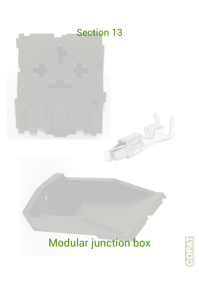

# Modular junction box

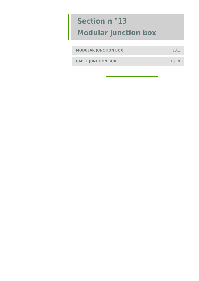| <b>MODULAR JUNCTION BOX</b> | 13.1  |
|-----------------------------|-------|
|                             |       |
| <b>CABLE JUNCTION BOX</b>   | 13.18 |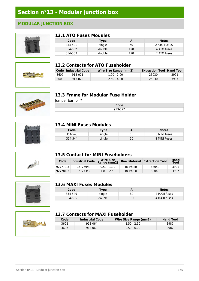#### **MODULAR JUNCTION BOX**



#### **13.1 ATO Fuses Modules**

| Code    | <b>Type</b> | А   | <b>Notes</b> |
|---------|-------------|-----|--------------|
| 354-501 | single      | 60  | 2 ATO FUSES  |
| 354-502 | double      | 120 | 4 ATO fuses  |
| 354-503 | double      | 120 | 7 ATO fuses  |





|      | <b>Code Industrial Code</b> | Wire Size Range (mm2) | <b>Extraction Tool Hand Tool</b> |      |
|------|-----------------------------|-----------------------|----------------------------------|------|
| 3607 | 913-071                     | $1.00 - 2.00$         | 25030                            | 3991 |
| 3608 | 913-072                     | $2.50 - 4.00$         | 25030                            | 3987 |



#### **13.3 Frame for Modular Fuse Holder**

Jumper bar for 7

| <b>PAM</b> |  |
|------------|--|
|            |  |



#### **13.4 MINI Fuses Modules**

| Code    | <b>Type</b> | -  | <b>Notes</b> |
|---------|-------------|----|--------------|
| 354-543 | single      | 60 | 6 MINI fuses |
| 354-544 | single      | 60 | 8 MINI Fuses |



#### **13.5 Contact for MINI Fuseholders**

| Code     | <b>Industrial Code</b> | <b>Wire Size</b><br>Range (mm2) |          | <b>Raw Material Extraction Tool</b> | Hand<br>Tool |
|----------|------------------------|---------------------------------|----------|-------------------------------------|--------------|
| 927779/3 | 927779/3               | $0.50 - 1.00$                   | Bz Ph Sn | 88040                               | 3991         |
| 927781/3 | 927773/3               | $1.00 - 2.50$                   | Bz Ph Sn | 88040                               | 3987         |



#### **13.6 MAXI Fuses Modules**

| Codel   | Гуре   | -   | <b>Notes</b> |
|---------|--------|-----|--------------|
| 354-549 | single | 80  | 2 MAXI fuses |
| 354-505 | double | 160 | 4 MAXI fuses |



#### **13.7 Contacts for MAXI Fuseholder**

| Code | <b>Industrial Code</b> | <b>Wire Size Range (mm2)</b> | <b>Hand Tool</b> |
|------|------------------------|------------------------------|------------------|
| 3602 | 913-064                | 1.50 - 2.50                  | 3987             |
| 3606 | 913-068                | $2.50 - 6.00$                | 3987             |

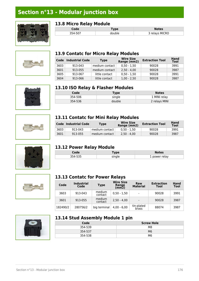

#### **13.8 Micro Relay Module**

| _ _ _ _ _ _ _ _ _ _ _<br>-------- |             |                |  |  |
|-----------------------------------|-------------|----------------|--|--|
| Code                              | <b>Tvpe</b> | <b>Notes</b>   |  |  |
| 354-507                           | double      | 3 relays MICRO |  |  |
|                                   |             |                |  |  |





| Code | <b>Industrial Code</b> | <b>Type</b>    | <b>Wire Size</b><br>Range (mm2) | <b>Extraction Tool</b> | <b>Hand</b><br>Tool |
|------|------------------------|----------------|---------------------------------|------------------------|---------------------|
| 3603 | 913-043                | medium contact | $0.50 - 1.50$                   | 90028                  | 3991                |
| 3601 | 913-055                | medium contact | $2.50 - 4.00$                   | 90028                  | 3987                |
| 3605 | 913-067                | little contact | $0.50 - 1.50$                   | 90028                  | 3991                |
| 3604 | 913-066                | little contact | $1.00 - 2.50$                   | 90028                  | 3987                |







## **13.10 ISO Relay & Flasher Modules**

| Code    | <b>Type</b> | <b>Notes</b>  |
|---------|-------------|---------------|
| 354-506 | single      | 1 MINI relay  |
| 354-536 | double      | 2 relays MINI |

#### **13.11 Contatc for Mini Relay Modules**

|      | Code Industrial Code | Type           | <b>Wire Size</b><br>Range (mm2) | <b>Extraction Tool</b> | <b>Hand</b><br>Tool |
|------|----------------------|----------------|---------------------------------|------------------------|---------------------|
| 3603 | 913-043              | medium contact | $0.50 - 1.50$                   | 90028                  | 3991                |
| 3601 | 913-055              | medium contact | $2.50 - 4.00$                   | 90028                  | 3987                |

#### **13.12 Power Relay Module**

| Code    | <i>i</i> ype | <b>Notes</b>  |
|---------|--------------|---------------|
| 354-535 | single       | 1 power relay |



#### **13.13 Contatc for Power Relays**

| Code     | <b>Industrial</b><br>Code | <b>Type</b>       | <b>Wire Size</b><br>Range<br>(mm2) | Raw<br><b>Material</b> | <b>Extraction</b><br>Tool | Hand<br><b>Tool</b> |
|----------|---------------------------|-------------------|------------------------------------|------------------------|---------------------------|---------------------|
| 3603     | 913-043                   | medium<br>contact | $0.50 - 1.50$                      |                        | 90028                     | 3991                |
| 3601     | 913-055                   | medium<br>contact | $2.50 - 4.00$                      |                        | 90028                     | 3987                |
| 182490/2 | 280756/2                  | big terminal      | $4.00 - 6.00$                      | tin-plated<br>brass    | 88074                     | 3987                |



#### **13.14 Stud Assembly Module 1 pin**

| Code    | <b>Screw Hole</b> |
|---------|-------------------|
| 354-539 | M8                |
| 354-537 | M <sub>6</sub>    |
| 354-538 | M6                |

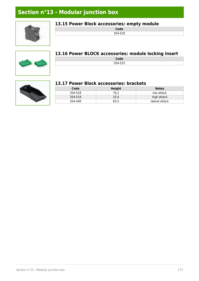

#### **13.15 Power Block accessories: empty module**

**Code** 354-520

#### **13.16 Power BLOCK accessories: module locking insert**

| - בי     |  |
|----------|--|
| 2F A F22 |  |



#### **13.17 Power Block accessories: brackets**

| Code    | Height | <b>Notes</b>   |
|---------|--------|----------------|
| 354-518 | 76.2   | low attack     |
| 354-519 | 25.4   | high attack    |
| 354-540 | 63.5   | lateral attack |